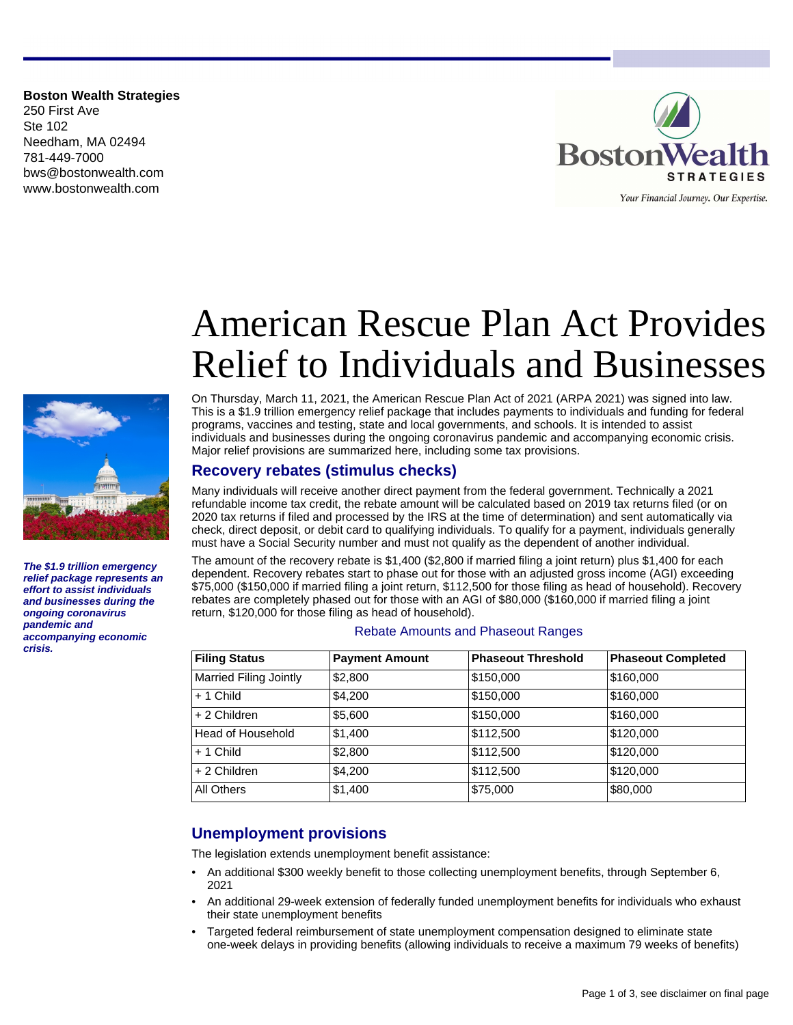**Boston Wealth Strategies** 250 First Ave Ste 102 Needham, MA 02494 781-449-7000 bws@bostonwealth.com www.bostonwealth.com





**The \$1.9 trillion emergency relief package represents an effort to assist individuals and businesses during the ongoing coronavirus pandemic and accompanying economic crisis.**

# American Rescue Plan Act Provides Relief to Individuals and Businesses

On Thursday, March 11, 2021, the American Rescue Plan Act of 2021 (ARPA 2021) was signed into law. This is a \$1.9 trillion emergency relief package that includes payments to individuals and funding for federal programs, vaccines and testing, state and local governments, and schools. It is intended to assist individuals and businesses during the ongoing coronavirus pandemic and accompanying economic crisis. Major relief provisions are summarized here, including some tax provisions.

## **Recovery rebates (stimulus checks)**

Many individuals will receive another direct payment from the federal government. Technically a 2021 refundable income tax credit, the rebate amount will be calculated based on 2019 tax returns filed (or on 2020 tax returns if filed and processed by the IRS at the time of determination) and sent automatically via check, direct deposit, or debit card to qualifying individuals. To qualify for a payment, individuals generally must have a Social Security number and must not qualify as the dependent of another individual.

The amount of the recovery rebate is \$1,400 (\$2,800 if married filing a joint return) plus \$1,400 for each dependent. Recovery rebates start to phase out for those with an adjusted gross income (AGI) exceeding \$75,000 (\$150,000 if married filing a joint return, \$112,500 for those filing as head of household). Recovery rebates are completely phased out for those with an AGI of \$80,000 (\$160,000 if married filing a joint return, \$120,000 for those filing as head of household).

#### Rebate Amounts and Phaseout Ranges

| <b>Filing Status</b>          | <b>Payment Amount</b> | <b>Phaseout Threshold</b> | <b>Phaseout Completed</b> |
|-------------------------------|-----------------------|---------------------------|---------------------------|
| <b>Married Filing Jointly</b> | \$2,800               | \$150,000                 | \$160,000                 |
| $+1$ Child                    | \$4,200               | \$150,000                 | \$160,000                 |
| + 2 Children                  | \$5,600               | \$150,000                 | \$160,000                 |
| Head of Household             | \$1,400               | \$112,500                 | \$120,000                 |
| $+1$ Child                    | \$2,800               | \$112,500                 | \$120,000                 |
| + 2 Children                  | \$4,200               | \$112,500                 | \$120,000                 |
| All Others                    | \$1,400               | \$75,000                  | \$80,000                  |

# **Unemployment provisions**

The legislation extends unemployment benefit assistance:

- An additional \$300 weekly benefit to those collecting unemployment benefits, through September 6, 2021
- An additional 29-week extension of federally funded unemployment benefits for individuals who exhaust their state unemployment benefits
- Targeted federal reimbursement of state unemployment compensation designed to eliminate state one-week delays in providing benefits (allowing individuals to receive a maximum 79 weeks of benefits)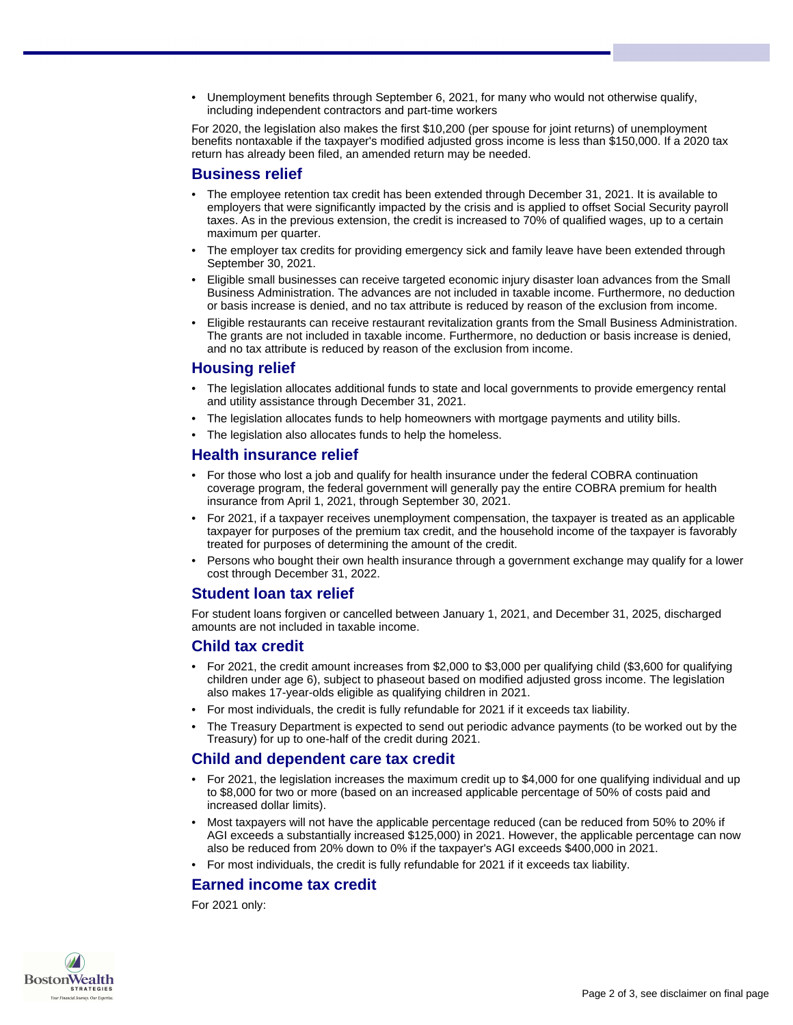• Unemployment benefits through September 6, 2021, for many who would not otherwise qualify, including independent contractors and part-time workers

For 2020, the legislation also makes the first \$10,200 (per spouse for joint returns) of unemployment benefits nontaxable if the taxpayer's modified adjusted gross income is less than \$150,000. If a 2020 tax return has already been filed, an amended return may be needed.

#### **Business relief**

- The employee retention tax credit has been extended through December 31, 2021. It is available to employers that were significantly impacted by the crisis and is applied to offset Social Security payroll taxes. As in the previous extension, the credit is increased to 70% of qualified wages, up to a certain maximum per quarter.
- The employer tax credits for providing emergency sick and family leave have been extended through September 30, 2021.
- Eligible small businesses can receive targeted economic injury disaster loan advances from the Small Business Administration. The advances are not included in taxable income. Furthermore, no deduction or basis increase is denied, and no tax attribute is reduced by reason of the exclusion from income.
- Eligible restaurants can receive restaurant revitalization grants from the Small Business Administration. The grants are not included in taxable income. Furthermore, no deduction or basis increase is denied, and no tax attribute is reduced by reason of the exclusion from income.

## **Housing relief**

- The legislation allocates additional funds to state and local governments to provide emergency rental and utility assistance through December 31, 2021.
- The legislation allocates funds to help homeowners with mortgage payments and utility bills.
- The legislation also allocates funds to help the homeless.

#### **Health insurance relief**

- For those who lost a job and qualify for health insurance under the federal COBRA continuation coverage program, the federal government will generally pay the entire COBRA premium for health insurance from April 1, 2021, through September 30, 2021.
- For 2021, if a taxpayer receives unemployment compensation, the taxpayer is treated as an applicable taxpayer for purposes of the premium tax credit, and the household income of the taxpayer is favorably treated for purposes of determining the amount of the credit.
- Persons who bought their own health insurance through a government exchange may qualify for a lower cost through December 31, 2022.

#### **Student loan tax relief**

For student loans forgiven or cancelled between January 1, 2021, and December 31, 2025, discharged amounts are not included in taxable income.

#### **Child tax credit**

- For 2021, the credit amount increases from \$2,000 to \$3,000 per qualifying child (\$3,600 for qualifying children under age 6), subject to phaseout based on modified adjusted gross income. The legislation also makes 17-year-olds eligible as qualifying children in 2021.
- For most individuals, the credit is fully refundable for 2021 if it exceeds tax liability.
- The Treasury Department is expected to send out periodic advance payments (to be worked out by the Treasury) for up to one-half of the credit during 2021.

## **Child and dependent care tax credit**

- For 2021, the legislation increases the maximum credit up to \$4,000 for one qualifying individual and up to \$8,000 for two or more (based on an increased applicable percentage of 50% of costs paid and increased dollar limits).
- Most taxpayers will not have the applicable percentage reduced (can be reduced from 50% to 20% if AGI exceeds a substantially increased \$125,000) in 2021. However, the applicable percentage can now also be reduced from 20% down to 0% if the taxpayer's AGI exceeds \$400,000 in 2021.
- For most individuals, the credit is fully refundable for 2021 if it exceeds tax liability.

# **Earned income tax credit**

For 2021 only: